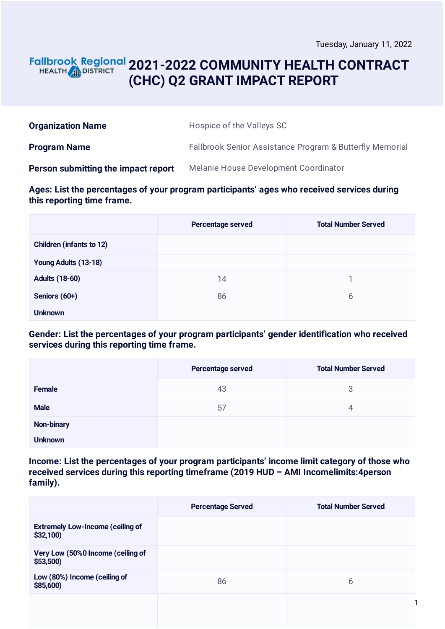## **2021-2022 COMMUNITY HEALTH CONTRACT** HEALTH **in DISTRICT (CHC) Q2 GRANT IMPACT REPORT**

| <b>Organization Name</b>            | Hospice of the Valleys SC                                           |
|-------------------------------------|---------------------------------------------------------------------|
| <b>Program Name</b>                 | <b>Fallbrook Senior Assistance Program &amp; Butterfly Memorial</b> |
| Person submitting the impact report | Melanie House Development Coordinator                               |

**Ages: List the percentages of your program participants' ages who received services during this reporting time frame.**

|                                 | <b>Percentage served</b> | <b>Total Number Served</b> |
|---------------------------------|--------------------------|----------------------------|
| <b>Children (infants to 12)</b> |                          |                            |
| Young Adults (13-18)            |                          |                            |
| <b>Adults (18-60)</b>           | 14                       |                            |
| Seniors (60+)                   | 86                       | 6                          |
| <b>Unknown</b>                  |                          |                            |

**Gender: List the percentages of your program participants' gender identification who received services during this reporting time frame.**

|                | Percentage served | <b>Total Number Served</b> |
|----------------|-------------------|----------------------------|
| Female         | 43                | 3                          |
| <b>Male</b>    | 57                | 4                          |
| Non-binary     |                   |                            |
| <b>Unknown</b> |                   |                            |

**Income: List the percentages of your program participants' income limit category of those who received services during this reporting timeframe (2019 HUD – AMI Incomelimits:4person family).**

|                                                      | <b>Percentage Served</b> | <b>Total Number Served</b> |
|------------------------------------------------------|--------------------------|----------------------------|
| <b>Extremely Low-Income (ceiling of</b><br>\$32,100) |                          |                            |
| Very Low (50%0 Income (ceiling of<br>$$53,500$ )     |                          |                            |
| Low (80%) Income (ceiling of<br>\$85,600)            | 86                       | 6                          |
|                                                      |                          |                            |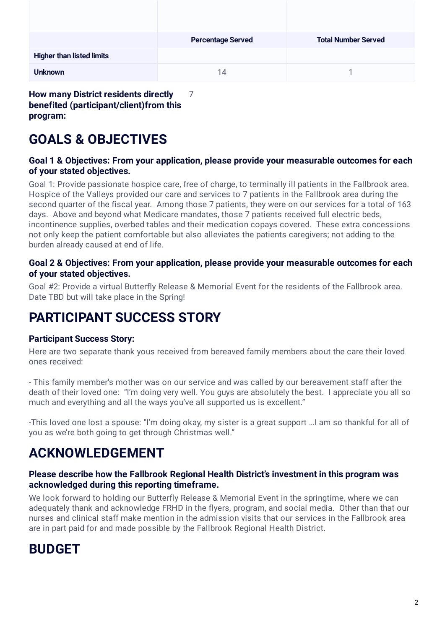|                                  | <b>Percentage Served</b> | <b>Total Number Served</b> |
|----------------------------------|--------------------------|----------------------------|
| <b>Higher than listed limits</b> |                          |                            |
| <b>Unknown</b>                   | 14                       |                            |

**How many District residents directly benefited (participant/client)from this program:**

# **GOALS & OBJECTIVES**

### **Goal 1 & Objectives: From your application, please provide your measurable outcomes for each of your stated objectives.**

Goal 1: Provide passionate hospice care, free of charge, to terminally ill patients in the Fallbrook area. Hospice of the Valleys provided our care and services to 7 patients in the Fallbrook area during the second quarter of the fiscal year. Among those 7 patients, they were on our services for a total of 163 days. Above and beyond what Medicare mandates, those 7 patients received full electric beds, incontinence supplies, overbed tables and their medication copays covered. These extra concessions not only keep the patient comfortable but also alleviates the patients caregivers; not adding to the burden already caused at end of life.

#### **Goal 2 & Objectives: From your application, please provide your measurable outcomes for each of your stated objectives.**

Goal #2: Provide a virtual Butterfly Release & Memorial Event for the residents of the Fallbrook area. Date TBD but will take place in the Spring!

# **PARTICIPANT SUCCESS STORY**

## **Participant Success Story:**

Here are two separate thank yous received from bereaved family members about the care their loved ones received:

- This family member's mother was on our service and was called by our bereavement staff after the death of their loved one: "I'm doing very well. You guys are absolutely the best. I appreciate you all so much and everything and all the ways you've all supported us is excellent."

-This loved one lost a spouse: "I'm doing okay, my sister is a great support …I am so thankful for all of you as we're both going to get through Christmas well."

# **ACKNOWLEDGEMENT**

### **Please describe how the Fallbrook Regional Health District's investment in this program was acknowledged during this reporting timeframe.**

We look forward to holding our Butterfly Release & Memorial Event in the springtime, where we can adequately thank and acknowledge FRHD in the flyers, program, and social media. Other than that our nurses and clinical staff make mention in the admission visits that our services in the Fallbrook area are in part paid for and made possible by the Fallbrook Regional Health District.

# **BUDGET**